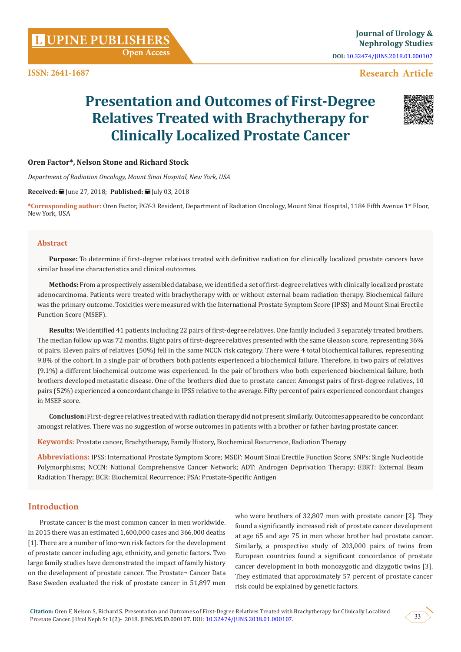**Open Access**

## **Research Article**

# **Presentation and Outcomes of First-Degree Relatives Treated with Brachytherapy for Clinically Localized Prostate Cancer**



## **Oren Factor\*, Nelson Stone and Richard Stock**

*Department of Radiation Oncology, Mount Sinai Hospital, New York, USA*

**Received:** June 27, 2018; **Published:** July 03, 2018

**\*Corresponding author:** Oren Factor, PGY-3 Resident, Department of Radiation Oncology, Mount Sinai Hospital, 1184 Fifth Avenue 1st Floor, New York, USA

#### **Abstract**

**Purpose:** To determine if first-degree relatives treated with definitive radiation for clinically localized prostate cancers have similar baseline characteristics and clinical outcomes.

**Methods:** From a prospectively assembled database, we identified a set of first-degree relatives with clinically localized prostate adenocarcinoma. Patients were treated with brachytherapy with or without external beam radiation therapy. Biochemical failure was the primary outcome. Toxicities were measured with the International Prostate Symptom Score (IPSS) and Mount Sinai Erectile Function Score (MSEF).

**Results:** We identified 41 patients including 22 pairs of first-degree relatives. One family included 3 separately treated brothers. The median follow up was 72 months. Eight pairs of first-degree relatives presented with the same Gleason score, representing 36% of pairs. Eleven pairs of relatives (50%) fell in the same NCCN risk category. There were 4 total biochemical failures, representing 9.8% of the cohort. In a single pair of brothers both patients experienced a biochemical failure. Therefore, in two pairs of relatives (9.1%) a different biochemical outcome was experienced. In the pair of brothers who both experienced biochemical failure, both brothers developed metastatic disease. One of the brothers died due to prostate cancer. Amongst pairs of first-degree relatives, 10 pairs (52%) experienced a concordant change in IPSS relative to the average. Fifty percent of pairs experienced concordant changes in MSEF score.

**Conclusion:** First-degree relatives treated with radiation therapy did not present similarly. Outcomes appeared to be concordant amongst relatives. There was no suggestion of worse outcomes in patients with a brother or father having prostate cancer.

**Keywords:** Prostate cancer, Brachytherapy, Family History, Biochemical Recurrence, Radiation Therapy

**Abbreviations:** IPSS: International Prostate Symptom Score; MSEF: Mount Sinai Erectile Function Score; SNPs: Single Nucleotide Polymorphisms; NCCN: National Comprehensive Cancer Network; ADT: Androgen Deprivation Therapy; EBRT: External Beam Radiation Therapy; BCR: Biochemical Recurrence; PSA: Prostate-Specific Antigen

## **Introduction**

Prostate cancer is the most common cancer in men worldwide. In 2015 there was an estimated 1,600,000 cases and 366,000 deaths [1]. There are a number of kno¬wn risk factors for the development of prostate cancer including age, ethnicity, and genetic factors. Two large family studies have demonstrated the impact of family history on the development of prostate cancer. The Prostate¬ Cancer Data Base Sweden evaluated the risk of prostate cancer in 51,897 men who were brothers of 32,807 men with prostate cancer [2]. They found a significantly increased risk of prostate cancer development at age 65 and age 75 in men whose brother had prostate cancer. Similarly, a prospective study of 203,000 pairs of twins from European countries found a significant concordance of prostate cancer development in both monozygotic and dizygotic twins [3]. They estimated that approximately 57 percent of prostate cancer risk could be explained by genetic factors.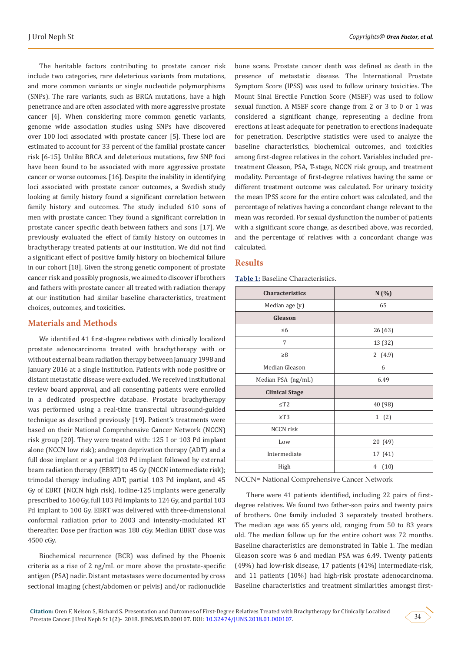The heritable factors contributing to prostate cancer risk include two categories, rare deleterious variants from mutations, and more common variants or single nucleotide polymorphisms (SNPs). The rare variants, such as BRCA mutations, have a high penetrance and are often associated with more aggressive prostate cancer [4]. When considering more common genetic variants, genome wide association studies using SNPs have discovered over 100 loci associated with prostate cancer [5]. These loci are estimated to account for 33 percent of the familial prostate cancer risk [6-15]. Unlike BRCA and deleterious mutations, few SNP foci have been found to be associated with more aggressive prostate cancer or worse outcomes. [16]. Despite the inability in identifying loci associated with prostate cancer outcomes, a Swedish study looking at family history found a significant correlation between family history and outcomes. The study included 610 sons of men with prostate cancer. They found a significant correlation in prostate cancer specific death between fathers and sons [17]. We previously evaluated the effect of family history on outcomes in brachytherapy treated patients at our institution. We did not find a significant effect of positive family history on biochemical failure in our cohort [18]. Given the strong genetic component of prostate cancer risk and possibly prognosis, we aimed to discover if brothers and fathers with prostate cancer all treated with radiation therapy at our institution had similar baseline characteristics, treatment choices, outcomes, and toxicities.

## **Materials and Methods**

We identified 41 first-degree relatives with clinically localized prostate adenocarcinoma treated with brachytherapy with or without external beam radiation therapy between January 1998 and January 2016 at a single institution. Patients with node positive or distant metastatic disease were excluded. We received institutional review board approval, and all consenting patients were enrolled in a dedicated prospective database. Prostate brachytherapy was performed using a real-time transrectal ultrasound-guided technique as described previously [19]. Patient's treatments were based on their National Comprehensive Cancer Network (NCCN) risk group [20]. They were treated with: 125 I or 103 Pd implant alone (NCCN low risk); androgen deprivation therapy (ADT) and a full dose implant or a partial 103 Pd implant followed by external beam radiation therapy (EBRT) to 45 Gy (NCCN intermediate risk); trimodal therapy including ADT, partial 103 Pd implant, and 45 Gy of EBRT (NCCN high risk). Iodine-125 implants were generally prescribed to 160 Gy, full 103 Pd implants to 124 Gy, and partial 103 Pd implant to 100 Gy. EBRT was delivered with three-dimensional conformal radiation prior to 2003 and intensity-modulated RT thereafter. Dose per fraction was 180 cGy. Median EBRT dose was 4500 cGy.

Biochemical recurrence (BCR) was defined by the Phoenix criteria as a rise of 2 ng/mL or more above the prostate-specific antigen (PSA) nadir. Distant metastases were documented by cross sectional imaging (chest/abdomen or pelvis) and/or radionuclide bone scans. Prostate cancer death was defined as death in the presence of metastatic disease. The International Prostate Symptom Score (IPSS) was used to follow urinary toxicities. The Mount Sinai Erectile Function Score (MSEF) was used to follow sexual function. A MSEF score change from 2 or 3 to 0 or 1 was considered a significant change, representing a decline from erections at least adequate for penetration to erections inadequate for penetration. Descriptive statistics were used to analyze the baseline characteristics, biochemical outcomes, and toxicities among first-degree relatives in the cohort. Variables included pretreatment Gleason, PSA, T-stage, NCCN risk group, and treatment modality. Percentage of first-degree relatives having the same or different treatment outcome was calculated. For urinary toxicity the mean IPSS score for the entire cohort was calculated, and the percentage of relatives having a concordant change relevant to the mean was recorded. For sexual dysfunction the number of patients with a significant score change, as described above, was recorded, and the percentage of relatives with a concordant change was calculated.

## **Results**

**Table 1:** Baseline Characteristics.

| Characteristics       | N(%)      |
|-----------------------|-----------|
| Median age (y)        | 65        |
| Gleason               |           |
| $\leq 6$              | 26(63)    |
| 7                     | 13 (32)   |
| $\geq 8$              | 2 $(4.9)$ |
| Median Gleason        | 6         |
| Median PSA (ng/mL)    | 6.49      |
| <b>Clinical Stage</b> |           |
| $\leq$ T2             | 40 (98)   |
| $\geq$ T3             | 1(2)      |
| <b>NCCN</b> risk      |           |
| Low                   | 20 (49)   |
| Intermediate          | 17 (41)   |
| High                  | (10)<br>4 |

NCCN= National Comprehensive Cancer Network

There were 41 patients identified, including 22 pairs of firstdegree relatives. We found two father-son pairs and twenty pairs of brothers. One family included 3 separately treated brothers. The median age was 65 years old, ranging from 50 to 83 years old. The median follow up for the entire cohort was 72 months. Baseline characteristics are demonstrated in Table 1. The median Gleason score was 6 and median PSA was 6.49. Twenty patients (49%) had low-risk disease, 17 patients (41%) intermediate-risk, and 11 patients (10%) had high-risk prostate adenocarcinoma. Baseline characteristics and treatment similarities amongst first-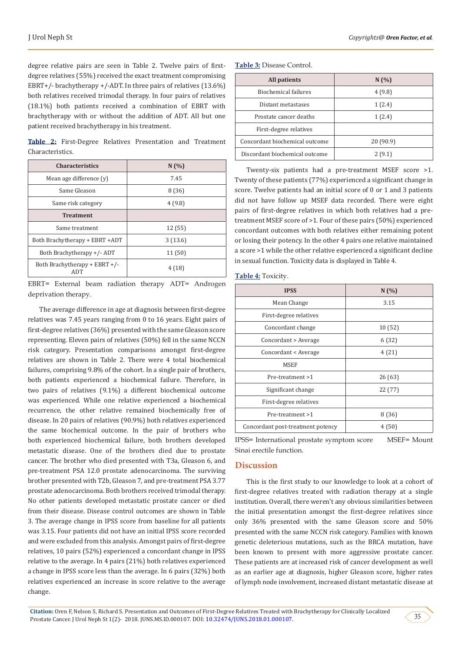degree relative pairs are seen in Table 2. Twelve pairs of firstdegree relatives (55%) received the exact treatment compromising EBRT+/- brachytherapy +/-ADT. In three pairs of relatives (13.6%) both relatives received trimodal therapy. In four pairs of relatives (18.1%) both patients received a combination of EBRT with brachytherapy with or without the addition of ADT. All but one patient received brachytherapy in his treatment.

**Table 2:** First-Degree Relatives Presentation and Treatment Characteristics.

| <b>Characteristics</b>                 | N(%)    |
|----------------------------------------|---------|
| Mean age difference (y)                | 7.45    |
| Same Gleason                           | 8 (36)  |
| Same risk category                     | 4(9.8)  |
| <b>Treatment</b>                       |         |
| Same treatment                         | 12(55)  |
| Both Brachytherapy + EBRT +ADT         | 3(13.6) |
| Both Brachytherapy +/- ADT             | 11(50)  |
| Both Brachytherapy + $EBRT$ +/-<br>ADT | 4(18)   |

EBRT= External beam radiation therapy ADT= Androgen deprivation therapy.

The average difference in age at diagnosis between first-degree relatives was 7.45 years ranging from 0 to 16 years. Eight pairs of first-degree relatives (36%) presented with the same Gleason score representing. Eleven pairs of relatives (50%) fell in the same NCCN risk category. Presentation comparisons amongst first-degree relatives are shown in Table 2. There were 4 total biochemical failures, comprising 9.8% of the cohort. In a single pair of brothers, both patients experienced a biochemical failure. Therefore, in two pairs of relatives (9.1%) a different biochemical outcome was experienced. While one relative experienced a biochemical recurrence, the other relative remained biochemically free of disease. In 20 pairs of relatives (90.9%) both relatives experienced the same biochemical outcome. In the pair of brothers who both experienced biochemical failure, both brothers developed metastatic disease. One of the brothers died due to prostate cancer. The brother who died presented with T3a, Gleason 6, and pre-treatment PSA 12.0 prostate adenocarcinoma. The surviving brother presented with T2b, Gleason 7, and pre-treatment PSA 3.77 prostate adenocarcinoma. Both brothers received trimodal therapy. No other patients developed metastatic prostate cancer or died from their disease. Disease control outcomes are shown in Table 3. The average change in IPSS score from baseline for all patients was 3.15. Four patients did not have an initial IPSS score recorded and were excluded from this analysis. Amongst pairs of first-degree relatives, 10 pairs (52%) experienced a concordant change in IPSS relative to the average. In 4 pairs (21%) both relatives experienced a change in IPSS score less than the average. In 6 pairs (32%) both relatives experienced an increase in score relative to the average change.

**Table 3:** Disease Control.

| All patients                   | N(%       |
|--------------------------------|-----------|
| Biochemical failures           | 4(9.8)    |
| Distant metastases             | 1(2.4)    |
| Prostate cancer deaths         | 1(2.4)    |
| First-degree relatives         |           |
| Concordant biochemical outcome | 20 (90.9) |
| Discordant biochemical outcome | 2(9.1)    |

Twenty-six patients had a pre-treatment MSEF score >1. Twenty of these patients (77%) experienced a significant change in score. Twelve patients had an initial score of 0 or 1 and 3 patients did not have follow up MSEF data recorded. There were eight pairs of first-degree relatives in which both relatives had a pretreatment MSEF score of >1. Four of these pairs (50%) experienced concordant outcomes with both relatives either remaining potent or losing their potency. In the other 4 pairs one relative maintained a score >1 while the other relative experienced a significant decline in sexual function. Toxicity data is displayed in Table 4.

|  |  | <b>Table 4: Toxicity.</b> |
|--|--|---------------------------|
|  |  |                           |

| <b>IPSS</b>                       | N(%)   |
|-----------------------------------|--------|
| Mean Change                       | 3.15   |
| First-degree relatives            |        |
| Concordant change                 | 10(52) |
| Concordant > Average              | 6(32)  |
| Concordant < Average              | 4(21)  |
| <b>MSEF</b>                       |        |
| Pre-treatment >1                  | 26(63) |
| Significant change                | 22(77) |
| First-degree relatives            |        |
| Pre-treatment >1                  | 8(36)  |
| Concordant post-treatment potency | 4(50)  |

IPSS= International prostate symptom score MSEF= Mount Sinai erectile function.

## **Discussion**

This is the first study to our knowledge to look at a cohort of first-degree relatives treated with radiation therapy at a single institution. Overall, there weren't any obvious similarities between the initial presentation amongst the first-degree relatives since only 36% presented with the same Gleason score and 50% presented with the same NCCN risk category. Families with known genetic deleterious mutations, such as the BRCA mutation, have been known to present with more aggressive prostate cancer. These patients are at increased risk of cancer development as well as an earlier age at diagnosis, higher Gleason score, higher rates of lymph node involvement, increased distant metastatic disease at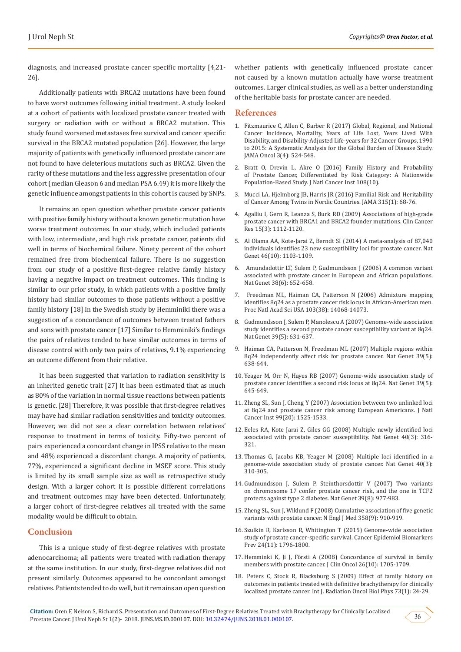diagnosis, and increased prostate cancer specific mortality [4,21- 26].

Additionally patients with BRCA2 mutations have been found to have worst outcomes following initial treatment. A study looked at a cohort of patients with localized prostate cancer treated with surgery or radiation with or without a BRCA2 mutation. This study found worsened metastases free survival and cancer specific survival in the BRCA2 mutated population [26]. However, the large majority of patients with genetically influenced prostate cancer are not found to have deleterious mutations such as BRCA2. Given the rarity of these mutations and the less aggressive presentation of our cohort (median Gleason 6 and median PSA 6.49) it is more likely the genetic influence amongst patients in this cohort is caused by SNPs.

It remains an open question whether prostate cancer patients with positive family history without a known genetic mutation have worse treatment outcomes. In our study, which included patients with low, intermediate, and high risk prostate cancer, patients did well in terms of biochemical failure. Ninety percent of the cohort remained free from biochemical failure. There is no suggestion from our study of a positive first-degree relative family history having a negative impact on treatment outcomes. This finding is similar to our prior study, in which patients with a positive family history had similar outcomes to those patients without a positive family history [18] In the Swedish study by Hemminiki there was a suggestion of a concordance of outcomes between treated fathers and sons with prostate cancer [17] Similar to Hemminiki's findings the pairs of relatives tended to have similar outcomes in terms of disease control with only two pairs of relatives, 9.1% experiencing an outcome different from their relative.

It has been suggested that variation to radiation sensitivity is an inherited genetic trait [27] It has been estimated that as much as 80% of the variation in normal tissue reactions between patients is genetic. [28] Therefore, it was possible that first-degree relatives may have had similar radiation sensitivities and toxicity outcomes. However, we did not see a clear correlation between relatives' response to treatment in terms of toxicity. Fifty-two percent of pairs experienced a concordant change in IPSS relative to the mean and 48% experienced a discordant change. A majority of patients, 77%, experienced a significant decline in MSEF score. This study is limited by its small sample size as well as retrospective study design. With a larger cohort it is possible different correlations and treatment outcomes may have been detected. Unfortunately, a larger cohort of first-degree relatives all treated with the same modality would be difficult to obtain.

#### **Conclusion**

This is a unique study of first-degree relatives with prostate adenocarcinoma; all patients were treated with radiation therapy at the same institution. In our study, first-degree relatives did not present similarly. Outcomes appeared to be concordant amongst relatives. Patients tended to do well, but it remains an open question

whether patients with genetically influenced prostate cancer not caused by a known mutation actually have worse treatment outcomes. Larger clinical studies, as well as a better understanding of the heritable basis for prostate cancer are needed.

#### **References**

- 1. [Fitzmaurice C, Allen C, Barber R \(2017\) Global, Regional, and National](https://www.ncbi.nlm.nih.gov/pubmed/27918777) [Cancer Incidence, Mortality, Years of Life Lost, Years Lived With](https://www.ncbi.nlm.nih.gov/pubmed/27918777) [Disability, and Disability-Adjusted Life-years for 32 Cancer Groups, 1990](https://www.ncbi.nlm.nih.gov/pubmed/27918777) [to 2015: A Systematic Analysis for the Global Burden of Disease Study.](https://www.ncbi.nlm.nih.gov/pubmed/27918777) [JAMA Oncol 3\(4\): 524-548.](https://www.ncbi.nlm.nih.gov/pubmed/27918777)
- 2. [Bratt O, Drevin L, Akre O \(2016\) Family History and Probability](https://www.ncbi.nlm.nih.gov/pubmed/27400876) [of Prostate Cancer, Differentiated by Risk Category: A Nationwide](https://www.ncbi.nlm.nih.gov/pubmed/27400876) [Population-Based Study. J Natl Cancer Inst 108\(10\).](https://www.ncbi.nlm.nih.gov/pubmed/27400876)
- 3. [Mucci LA, Hjelmborg JB, Harris JR \(2016\) Familial Risk and Heritability](https://www.ncbi.nlm.nih.gov/pubmed/26746459) [of Cancer Among Twins in Nordic Countries. JAMA 315\(1\): 68-76.](https://www.ncbi.nlm.nih.gov/pubmed/26746459)
- 4. [Agalliu I, Gern R, Leanza S, Burk RD \(2009\) Associations of high-grade](https://www.ncbi.nlm.nih.gov/pubmed/19188187) [prostate cancer with BRCA1 and BRCA2 founder mutations. Clin Cancer](https://www.ncbi.nlm.nih.gov/pubmed/19188187) [Res 15\(3\): 1112-1120.](https://www.ncbi.nlm.nih.gov/pubmed/19188187)
- 5. [Al Olama AA, Kote-Jarai Z, Berndt SI \(2014\) A meta-analysis of 87,040](https://www.ncbi.nlm.nih.gov/pubmed/25217961) [individuals identifies 23 new susceptibility loci for prostate cancer. Nat](https://www.ncbi.nlm.nih.gov/pubmed/25217961) [Genet 46\(10\): 1103-1109.](https://www.ncbi.nlm.nih.gov/pubmed/25217961)
- 6. [Amundadottir LT, Sulem P, Gudmundsson J \(2006\) A common variant](https://www.ncbi.nlm.nih.gov/pubmed/16682969) [associated with prostate cancer in European and African populations.](https://www.ncbi.nlm.nih.gov/pubmed/16682969) [Nat Genet 38\(6\): 652-658.](https://www.ncbi.nlm.nih.gov/pubmed/16682969)
- 7. [Freedman ML, Haiman CA, Patterson N \(2006\) Admixture mapping](https://www.ncbi.nlm.nih.gov/pubmed/16945910) [identifies 8q24 as a prostate cancer risk locus in African-American men.](https://www.ncbi.nlm.nih.gov/pubmed/16945910) [Proc Natl Acad Sci USA 103\(38\): 14068-14073.](https://www.ncbi.nlm.nih.gov/pubmed/16945910)
- 8. [Gudmundsson J, Sulem P, Manolescu A \(2007\) Genome-wide association](https://www.ncbi.nlm.nih.gov/pubmed/17401366) [study identifies a second prostate cancer susceptibility variant at 8q24.](https://www.ncbi.nlm.nih.gov/pubmed/17401366) [Nat Genet 39\(5\): 631-637.](https://www.ncbi.nlm.nih.gov/pubmed/17401366)
- 9. [Haiman CA, Patterson N, Freedman ML \(2007\) Multiple regions within](https://www.ncbi.nlm.nih.gov/pubmed/17401364) [8q24 independently affect risk for prostate cancer. Nat Genet 39\(5\):](https://www.ncbi.nlm.nih.gov/pubmed/17401364) [638-644.](https://www.ncbi.nlm.nih.gov/pubmed/17401364)
- 10. [Yeager M, Orr N, Hayes RB \(2007\) Genome-wide association study of](https://www.ncbi.nlm.nih.gov/pubmed/17401363) [prostate cancer identifies a second risk locus at 8q24. Nat Genet 39\(5\):](https://www.ncbi.nlm.nih.gov/pubmed/17401363) [645-649.](https://www.ncbi.nlm.nih.gov/pubmed/17401363)
- 11. [Zheng SL, Sun J, Cheng Y \(2007\) Association between two unlinked loci](https://www.ncbi.nlm.nih.gov/pubmed/17925536) [at 8q24 and prostate cancer risk among European Americans. J Natl](https://www.ncbi.nlm.nih.gov/pubmed/17925536) [Cancer Inst 99\(20\): 1525-1533.](https://www.ncbi.nlm.nih.gov/pubmed/17925536)
- 12. [Eeles RA, Kote Jarai Z, Giles GG \(2008\) Multiple newly identified loci](https://www.ncbi.nlm.nih.gov/pubmed/18264097) [associated with prostate cancer susceptibility. Nat Genet 40\(3\): 316-](https://www.ncbi.nlm.nih.gov/pubmed/18264097) [321.](https://www.ncbi.nlm.nih.gov/pubmed/18264097)
- 13. [Thomas G, Jacobs KB, Yeager M \(2008\) Multiple loci identified in a](https://www.ncbi.nlm.nih.gov/pubmed/18264096) [genome-wide association study of prostate cancer. Nat Genet 40\(3\):](https://www.ncbi.nlm.nih.gov/pubmed/18264096) [310-305.](https://www.ncbi.nlm.nih.gov/pubmed/18264096)
- 14. [Gudmundsson J, Sulem P, Steinthorsdottir V \(2007\) Two variants](https://www.ncbi.nlm.nih.gov/pubmed/17603485) [on chromosome 17 confer prostate cancer risk, and the one in TCF2](https://www.ncbi.nlm.nih.gov/pubmed/17603485) [protects against type 2 diabetes. Nat Genet 39\(8\): 977-983.](https://www.ncbi.nlm.nih.gov/pubmed/17603485)
- 15. [Zheng SL, Sun J, Wiklund F \(2008\) Cumulative association of five genetic](https://www.ncbi.nlm.nih.gov/pubmed/18199855) [variants with prostate cancer. N Engl J Med 358\(9\): 910-919.](https://www.ncbi.nlm.nih.gov/pubmed/18199855)
- 16. [Szulkin R, Karlsson R, Whitington T \(2015\) Genome-wide association](https://www.ncbi.nlm.nih.gov/pubmed/26307654) [study of prostate cancer-specific survival. Cancer Epidemiol Biomarkers](https://www.ncbi.nlm.nih.gov/pubmed/26307654) [Prev 24\(11\): 1796-1800.](https://www.ncbi.nlm.nih.gov/pubmed/26307654)
- 17. [Hemminki K, Ji J, Försti A \(2008\) Concordance of survival in family](https://www.ncbi.nlm.nih.gov/pubmed/18375899) [members with prostate cancer. J Clin Oncol 26\(10\): 1705-1709.](https://www.ncbi.nlm.nih.gov/pubmed/18375899)
- 18. [Peters C, Stock R, Blacksburg S \(2009\) Effect of family history on](https://www.redjournal.org/article/S0360-3016(08)00768-2/abstract?code=rob-site) [outcomes in patients treated with definitive brachytherapy for clinically](https://www.redjournal.org/article/S0360-3016(08)00768-2/abstract?code=rob-site) [localized prostate cancer. Int J. Radiation Oncol Biol Phys 73\(1\): 24-29.](https://www.redjournal.org/article/S0360-3016(08)00768-2/abstract?code=rob-site)